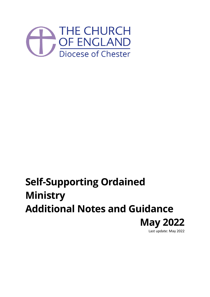

# **Self-Supporting Ordained Ministry Additional Notes and Guidance May 2022** Last update: May 2022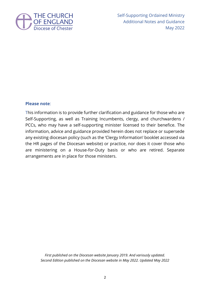

Self-Supporting Ordained Ministry Additional Notes and Guidance May 2022

#### **Please note**:

This information is to provide further clarification and guidance for those who are Self-Supporting, as well as Training Incumbents, clergy, and churchwardens / PCCs, who may have a self-supporting minister licensed to their benefice. The information, advice and guidance provided herein does not replace or supersede any existing diocesan policy (such as the 'Clergy Information' booklet accessed via the HR pages of the Diocesan website) or practice, nor does it cover those who are ministering on a House-for-Duty basis or who are retired. Separate arrangements are in place for those ministers.

*First published on the Diocesan website January 2019. And variously updated. Second Edition published on the Diocesan website in May 2022. Updated May 2022*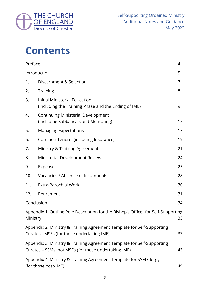

# **Contents**

| Preface                                                                                                                    |                                                                                                                                | 4  |
|----------------------------------------------------------------------------------------------------------------------------|--------------------------------------------------------------------------------------------------------------------------------|----|
|                                                                                                                            | Introduction                                                                                                                   | 5  |
| 1.                                                                                                                         | Discernment & Selection                                                                                                        | 7  |
| 2.                                                                                                                         | <b>Training</b>                                                                                                                | 8  |
| 3.                                                                                                                         | Initial Ministerial Education<br>(Including the Training Phase and the Ending of IME)                                          | 9  |
| 4.                                                                                                                         | <b>Continuing Ministerial Development</b><br>(Including Sabbaticals and Mentoring)                                             | 12 |
| 5.                                                                                                                         | <b>Managing Expectations</b>                                                                                                   | 17 |
| 6.                                                                                                                         | Common Tenure (including Insurance)                                                                                            | 19 |
| 7.                                                                                                                         | <b>Ministry &amp; Training Agreements</b>                                                                                      | 21 |
| 8.                                                                                                                         | Ministerial Development Review                                                                                                 | 24 |
| 9.                                                                                                                         | Expenses                                                                                                                       | 25 |
| 10.                                                                                                                        | Vacancies / Absence of Incumbents                                                                                              | 28 |
| 11.                                                                                                                        | <b>Extra-Parochial Work</b>                                                                                                    | 30 |
| 12.                                                                                                                        | Retirement                                                                                                                     | 31 |
| Conclusion                                                                                                                 |                                                                                                                                | 34 |
| Ministry                                                                                                                   | Appendix 1: Outline Role Description for the Bishop's Officer for Self-Supporting                                              | 35 |
| Appendix 2: Ministry & Training Agreement Template for Self-Supporting<br>Curates - MSEs (for those undertaking IME)<br>37 |                                                                                                                                |    |
|                                                                                                                            | Appendix 3: Ministry & Training Agreement Template for Self-Supporting<br>Curates - SSMs, not MSEs (for those undertaking IME) | 43 |
|                                                                                                                            | Appendix 4: Ministry & Training Agreement Template for SSM Clergy<br>(for those post-IME)<br>49                                |    |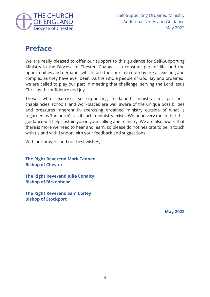

## **Preface**

We are really pleased to offer our support to this guidance for Self-Supporting Ministry in the Diocese of Chester. Change is a constant part of life, and the opportunities and demands which face the church in our day are as exciting and complex as they have ever been. As the whole people of God, lay and ordained, we are called to play our part in meeting that challenge, serving the Lord Jesus Christ with confidence and joy.

Those who exercise self-supporting ordained ministry in parishes, chaplaincies, schools, and workplaces are well aware of the unique possibilities and pressures inherent in exercising ordained ministry outside of what is regarded as 'the norm' – as if such a ministry exists. We hope very much that this guidance will help sustain you in your calling and ministry. We are also aware that there is more we need to hear and learn, so please do not hesitate to be in touch with us and with Lyndon with your feedback and suggestions.

With our prayers and our best wishes,

**The Right Reverend Mark Tanner Bishop of Chester**

**The Right Reverend Julie Conalty Bishop of Birkenhead**

**The Right Reverend Sam Corley Bishop of Stockport**

**May 2022**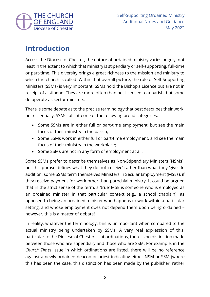

## **Introduction**

Across the Diocese of Chester, the nature of ordained ministry varies hugely, not least in the extent to which that ministry is stipendiary or self-supporting, full-time or part-time. This diversity brings a great richness to the mission and ministry to which the church is called. Within that overall picture, the role of Self-Supporting Ministers (SSMs) is very important. SSMs hold the Bishop's Licence but are not in receipt of a stipend. They are more often than not licensed to a parish, but some do operate as sector minsters.

There is some debate as to the precise terminology that best describes their work, but essentially, SSMs fall into one of the following broad categories:

- Some SSMs are in either full or part-time employment, but see the main focus of their ministry in the parish;
- Some SSMs work in either full or part-time employment, and see the main focus of their ministry in the workplace;
- Some SSMs are not in any form of employment at all.

Some SSMs prefer to describe themselves as Non-Stipendiary Ministers (NSMs), but this phrase defines what they do not 'receive' rather than what they 'give'. In addition, some SSMs term themselves Ministers in Secular Employment (MSEs), if they receive payment for work other than parochial ministry. It could be argued that in the strict sense of the term, a 'true' MSE is someone who is employed as an ordained minister in that particular context (e.g., a school chaplain), as opposed to being an ordained minister who happens to work within a particular setting, and whose employment does not depend them upon being ordained – however, this is a matter of debate!

In reality, whatever the terminology, this is unimportant when compared to the actual ministry being undertaken by SSMs. A very real expression of this, particular to the Diocese of Chester, is at ordinations, there is no distinction made between those who are stipendiary and those who are SSM. For example, in the *Church Times* issue in which ordinations are listed, there will be no reference against a newly-ordained deacon or priest indicating either NSM or SSM (where this has been the case, this distinction has been made by the publisher, rather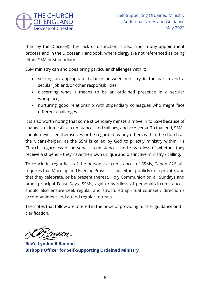

than by the Diocese!). The lack of distinction is also true in any appointment process and in the Diocesan Handbook, where clergy are not referenced as being either SSM or stipendiary.

SSM ministry can and does bring particular challenges with it:

- striking an appropriate balance between ministry in the parish and a secular job and/or other responsibilities;
- discerning what it means to be an ordained presence in a secular workplace;
- nurturing good relationship with stipendiary colleagues who might face different challenges.

It is also worth noting that some stipendiary minsters move in to SSM because of changes to domestic circumstances and callings, and vice-versa. To that end, SSMs should never see themselves or be regarded by any others within the church as the 'vicar's-helper', as the SSM is called by God to priestly ministry within His Church, regardless of personal circumstances, and regardless of whether they receive a stipend – they have their own unique and distinctive ministry / calling.

To conclude, regardless of the personal circumstances of SSMs, Canon C26 still requires that Morning and Evening Prayer is said, either publicly or in private, and that they celebrate, or be present thereat, Holy Communion on all Sundays and other principal Feast Days. SSMs, again regardless of personal circumstances, should also ensure seek regular and structured spiritual counsel / direction / accompaniment and attend regular retreats.

The notes that follow are offered in the hope of providing further guidance and clarification.

**Rev'd Lyndon R Bannon Bishop's Officer for Self-Supporting Ordained Ministry**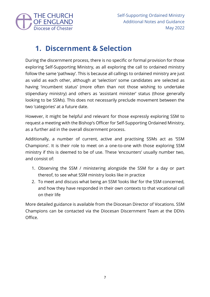

## **1. Discernment & Selection**

During the discernment process, there is no specific or formal provision for those exploring Self-Supporting Ministry, as all exploring the call to ordained ministry follow the same 'pathway'. This is because all callings to ordained ministry are just as valid as each other, although at 'selection' some candidates are selected as having 'incumbent status' (more often than not those wishing to undertake stipendiary ministry) and others as 'assistant minister' status (those generally looking to be SSMs). This does not necessarily preclude movement between the two 'categories' at a future date.

However, it might be helpful and relevant for those expressly exploring SSM to request a meeting with the Bishop's Officer for Self-Supporting Ordained Ministry, as a further aid in the overall discernment process.

Additionally, a number of current, active and practising SSMs act as 'SSM Champions'. It is their role to meet on a one-to-one with those exploring SSM ministry if this is deemed to be of use. These 'encounters' usually number two, and consist of:

- 1. Observing the SSM / ministering alongside the SSM for a day or part thereof, to see what SSM ministry looks like in practice
- 2. To meet and discuss what being an SSM 'looks like' for the SSM concerned, and how they have responded in their own contexts to that vocational call on their life

More detailed guidance is available from the Diocesan Director of Vocations. SSM Champions can be contacted via the Diocesan Discernment Team at the DDVs Office.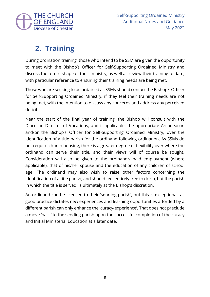

## **2. Training**

During ordination training, those who intend to be SSM are given the opportunity to meet with the Bishop's Officer for Self-Supporting Ordained Ministry and discuss the future shape of their ministry, as well as review their training to date, with particular reference to ensuring their training needs are being met.

Those who are seeking to be ordained as SSMs should contact the Bishop's Officer for Self-Supporting Ordained Ministry, if they feel their training needs are not being met, with the intention to discuss any concerns and address any perceived deficits.

Near the start of the final year of training, the Bishop will consult with the Diocesan Director of Vocations, and if applicable, the appropriate Archdeacon and/or the Bishop's Officer for Self-Supporting Ordained Ministry, over the identification of a title parish for the ordinand following ordination. As SSMs do not require church housing, there is a greater degree of flexibility over where the ordinand can serve their title, and their views will of course be sought. Consideration will also be given to the ordinand's paid employment (where applicable), that of his/her spouse and the education of any children of school age. The ordinand may also wish to raise other factors concerning the identification of a title parish, and should feel entirely free to do so, but the parish in which the title is served, is ultimately at the Bishop's discretion.

An ordinand can be licensed to their 'sending parish', but this is exceptional, as good practice dictates new experiences and learning opportunities afforded by a different parish can only enhance the 'curacy-experience'. That does not preclude a move 'back' to the sending parish upon the successful completion of the curacy and Initial Ministerial Education at a later date.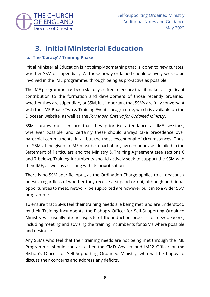

## **3. Initial Ministerial Education**

### **a. The 'Curacy' / Training Phase**

Initial Ministerial Education is not simply something that is 'done' to new curates, whether SSM or stipendiary! All those newly ordained should actively seek to be involved in the IME programme, through being as pro-active as possible.

The IME programme has been skilfully crafted to ensure that it makes a significant contribution to the formation and development of those recently ordained, whether they are stipendiary or SSM. It is important that SSMs are fully conversant with the 'IME Phase Two & Training Events' programme, which is available on the Diocesan website, as well as the *Formation Criteria for Ordained Ministry*.

SSM curates must ensure that they prioritise attendance at IME sessions, wherever possible, and certainly these should always take precedence over parochial commitments, in all but the most exceptional of circumstances. Thus, for SSMs, time given to IME must be a part of any agreed hours, as detailed in the Statement of Particulars and the Ministry & Training Agreement (see sections 6 and 7 below). Training Incumbents should actively seek to support the SSM with their IME, as well as assisting with its prioritisation.

There is no SSM specific input, as the Ordination Charge applies to all deacons / priests, regardless of whether they receive a stipend or not, although additional opportunities to meet, network, be supported are however built in to a wider SSM programme.

To ensure that SSMs feel their training needs are being met, and are understood by their Training Incumbents, the Bishop's Officer for Self-Supporting Ordained Ministry will usually attend aspects of the induction process for new deacons, including meeting and advising the training incumbents for SSMs where possible and desirable.

Any SSMs who feel that their training needs are not being met through the IME Programme, should contact either the CMD Adviser and IME2 Officer or the Bishop's Officer for Self-Supporting Ordained Ministry, who will be happy to discuss their concerns and address any deficits.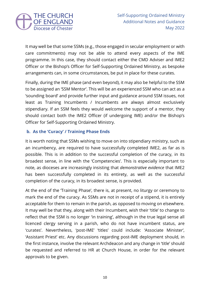

It may well be that some SSMs (e.g., those engaged in secular employment or with care commitments) may not be able to attend every aspects of the IME programme. In this case, they should contact either the CMD Adviser and IME2 Officer or the Bishop's Officer for Self-Supporting Ordained Ministry, as bespoke arrangements can, in some circumstances, be put in place for these curates.

Finally, during the IME phase (and even beyond), it may also be helpful to the SSM to be assigned an 'SSM Mentor'. This will be an experienced SSM who can act as a 'sounding board' and provide further input and guidance around SSM issues, not least as Training Incumbents / Incumbents are always almost exclusively stipendiary. If an SSM feels they would welcome the support of a mentor, they should contact both the IME2 Officer (if undergoing IME) and/or the Bishop's Officer for Self-Supporting Ordained Ministry.

### **b. As the 'Curacy' / Training Phase Ends**

It is worth noting that SSMs wishing to move on into stipendiary ministry, such as an incumbency, are required to have successfully completed IME2, as far as is possible. This is in addition to the successful completion of the curacy, in its broadest sense, in line with the 'Competencies'. This is especially important to note, as dioceses are increasingly insisting that *demonstrative evidence* that IME2 has been successfully completed in its entirety, as well as the successful completion of the curacy, in its broadest sense, is provided.

At the end of the 'Training Phase', there is, at present, no liturgy or ceremony to mark the end of the curacy. As SSMs are not in receipt of a stipend, it is entirely acceptable for them to remain in the parish, as opposed to moving on elsewhere. It may well be that they, along with their Incumbent, wish their 'title' to change to reflect that the SSM is no longer 'in training', although in the true legal sense all licenced clergy serving in a parish, who do not have incumbent status, are 'curates'. Nevertheless, 'post-IME' 'titles' could include: 'Associate Minister', 'Assistant Priest' etc. Any discussions regarding post-IME deployment should, in the first instance, involve the relevant Archdeacon and any change in 'title' should be requested and referred to HR at Church House, in order for the relevant approvals to be given.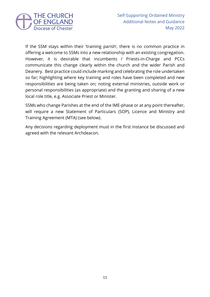

If the SSM stays within their 'training parish', there is no common practice in offering a welcome to SSMs into a new relationship with an existing congregation. However, it is desirable that incumbents / Priests-in-Charge and PCCs communicate this change clearly within the church and the wider Parish and Deanery. Best practice could include marking and celebrating the role undertaken so far; highlighting where key training and roles have been completed and new responsibilities are being taken on; noting external ministries, outside work or personal responsibilities (as appropriate) and the granting and sharing of a new local role title, e.g. Associate Priest or Minister.

SSMs who change Parishes at the end of the IME-phase or at any point thereafter, will require a new Statement of Particulars (SOP), Licence and Ministry and Training Agreement (MTA) (see below).

Any decisions regarding deployment must in the first instance be discussed and agreed with the relevant Archdeacon.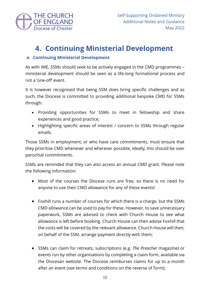

## **4. Continuing Ministerial Development**

### **a. Continuing Ministerial Development**

As with IME, SSMs should seek to be actively engaged in the CMD programmes – ministerial development should be seen as a life-long formational process and not a 'one-off' event.

It is however recognised that being SSM does bring specific challenges and as such, the Diocese is committed to providing additional bespoke CMD for SSMs through:

- Providing opportunities for SSMs to meet in fellowship and share experiences and good practice;
- Highlighting specific areas of interest / concern to SSMs through regular emails.

Those SSMs in employment, or who have care commitments, must ensure that they prioritise CMD whenever and wherever possible, ideally, this should be over parochial commitments.

SSMs are reminded that they can also access an annual CMD grant. Please note the following information:

- Most of the courses the Diocese runs are free, so there is no need for anyone to use their CMD allowance for any of these events!
- Foxhill runs a number of courses for which there is a charge, but the SSMs CMD allowance can be used to pay for these. However, to save unnecessary paperwork, SSMs are advised to check with Church House to see what allowance is left before booking. Church House can then advise Foxhill that the costs will be covered by the relevant allowance. Church House will then, on behalf of the SSM, arrange payment directly with them;
- SSMs can claim for retreats, subscriptions (e.g. *The Preacher* magazine) or events run by other organisations by completing a claim form, available via the Diocesan website. The Diocese reimburses claims for up to a month after an event (see terms and conditions on the reverse of form);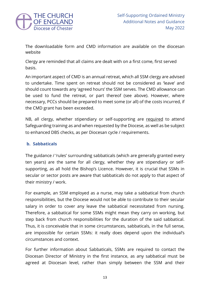

The downloadable form and CMD information are available on the diocesan website

Clergy are reminded that all claims are dealt with on a first come, first served basis.

An important aspect of CMD is an annual retreat, which all SSM clergy are advised to undertake. Time spent on retreat should not be considered as 'leave' and should count towards any 'agreed hours' the SSM serves. The CMD allowance can be used to fund the retreat, or part thereof (see above). However, where necessary, PCCs should be prepared to meet some (or all) of the costs incurred, if the CMD grant has been exceeded.

NB, all clergy, whether stipendiary or self-supporting are required to attend Safeguarding training as and when requested by the Diocese, as well as be subject to enhanced DBS checks, as per Diocesan cycle / requirements.

### **b. Sabbaticals**

The guidance / 'rules' surrounding sabbaticals (which are generally granted every ten years) are the same for all clergy, whether they are stipendiary or selfsupporting, as all hold the Bishop's Licence. However, it is crucial that SSMs in secular or sector posts are aware that sabbaticals do not apply to that aspect of their ministry / work.

For example, an SSM employed as a nurse, may take a sabbatical from church responsibilities, but the Diocese would not be able to contribute to their secular salary in order to cover any leave the sabbatical necessitated from nursing. Therefore, a sabbatical for some SSMs might mean they carry on working, but step back from church responsibilities for the duration of the said sabbatical. Thus, it is conceivable that in some circumstances, sabbaticals, in the full sense, are impossible for certain SSMs: it really does depend upon the individual's circumstances and context.

For further information about Sabbaticals, SSMs are required to contact the Diocesan Director of Ministry in the first instance, as any sabbatical must be agreed at Diocesan level, rather than simply between the SSM and their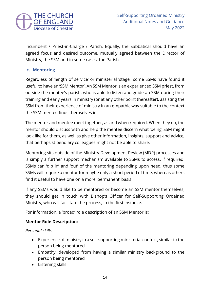

Incumbent / Priest-in-Charge / Parish. Equally, the Sabbatical should have an agreed focus and desired outcome, mutually agreed between the Director of Ministry, the SSM and in some cases, the Parish.

### **c. Mentoring**

Regardless of 'length of service' or ministerial 'stage', some SSMs have found it useful to have an 'SSM Mentor'. An SSM Mentor is an experienced SSM priest, from outside the mentee's parish, who is able to listen and guide an SSM during their training and early years in ministry (or at any other point thereafter), assisting the SSM from their experience of ministry in an empathic way suitable to the context the SSM mentee finds themselves in.

The mentor and mentee meet together, as and when required. When they do, the mentor should discuss with and help the mentee discern what 'being' SSM might look like for them, as well as give other information, insights, support and advice, that perhaps stipendiary colleagues might not be able to share.

Mentoring sits outside of the Ministry Development Review (MDR) processes and is simply a further support mechanism available to SSMs to access, if required. SSMs can 'dip in' and 'out' of the mentoring depending upon need, thus some SSMs will require a mentor for maybe only a short period of time, whereas others find it useful to have one on a more 'permanent' basis.

If any SSMs would like to be mentored or become an SSM mentor themselves, they should get in touch with Bishop's Officer for Self-Supporting Ordained Ministry, who will facilitate the process, in the first instance.

For information, a 'broad' role description of an SSM Mentor is:

### **Mentor Role Description:**

*Personal skills:*

- Experience of ministry in a self-supporting ministerial context, similar to the person being mentored
- Empathy, developed from having a similar ministry background to the person being mentored
- Listening skills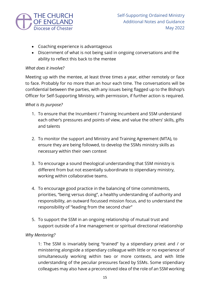

- Coaching experience is advantageous
- Discernment of what is not being said in ongoing conversations and the ability to reflect this back to the mentee

#### *What does it involve?*

Meeting up with the mentee, at least three times a year, either remotely or face to face. Probably for no more than an hour each time. The conversations will be confidential between the parties, with any issues being flagged up to the Bishop's Officer for Self-Supporting Ministry, with permission, if further action is required.

#### *What is its purpose?*

- 1. To ensure that the Incumbent / Training Incumbent and SSM understand each other's pressures and points of view, and value the others' skills, gifts and talents
- 2. To monitor the support and Ministry and Training Agreement (MTA), to ensure they are being followed, to develop the SSMs ministry skills as necessary within their own context
- 3. To encourage a sound theological understanding that SSM ministry is different from but not essentially subordinate to stipendiary ministry, working within collaborative teams.
- 4. To encourage good practice in the balancing of time commitments, priorities, "being versus doing", a healthy understanding of authority and responsibility, an outward focussed mission focus, and to understand the responsibility of "leading from the second chair"
- 5. To support the SSM in an ongoing relationship of mutual trust and support outside of a line management or spiritual directional relationship

### *Why Mentoring?*

1: The SSM is invariably being "trained" by a stipendiary priest and / or ministering alongside a stipendiary colleague with little or no experience of simultaneously working within two or more contexts, and with little understanding of the peculiar pressures faced by SSMs. Some stipendiary colleagues may also have a preconceived idea of the role of an SSM working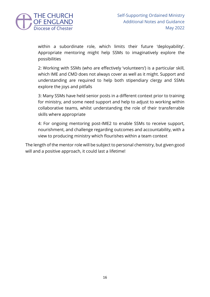

within a subordinate role, which limits their future 'deployability'. Appropriate mentoring might help SSMs to imaginatively explore the possibilities

2: Working with SSMs (who are effectively 'volunteers') is a particular skill, which IME and CMD does not always cover as well as it might. Support and understanding are required to help both stipendiary clergy and SSMs explore the joys and pitfalls

3: Many SSMs have held senior posts in a different context prior to training for ministry, and some need support and help to adjust to working within collaborative teams, whilst understanding the role of their transferrable skills where appropriate

4: For ongoing mentoring post-IME2 to enable SSMs to receive support, nourishment, and challenge regarding outcomes and accountability, with a view to producing ministry which flourishes within a team context

The length of the mentor role will be subject to personal chemistry, but given good will and a positive approach, it could last a lifetime!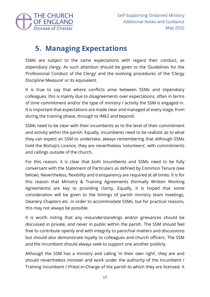

## **5. Managing Expectations**

SSMs are subject to the same expectations with regard their conduct, as stipendiary clergy. As such attention should be given to the 'Guidelines for the Professional Conduct of the Clergy' and the evolving procedures of the 'Clergy Discipline Measure' or its equivalent.

It is true to say that where conflicts arise between SSMs and stipendiary colleagues, this is mainly due to disagreements over expectations, often in terms of time commitment and/or the type of ministry / activity the SSM is engaged in. It is important that expectations are made clear and managed at every stage, from during the training phase, through to IME2 and beyond.

SSMs need to be clear with their incumbents as to the level of their commitment and activity within the parish. Equally, incumbents need to be realistic as to what they can expect an SSM to undertake, always remembering that although SSMs hold the Bishop's Licence, they are nevertheless 'volunteers', with commitments and callings outside of the church.

For this reason, it is clear that both Incumbents and SSMs need to be fully conversant with the Statement of Particulars as defined by Common Tenure (see below). Nevertheless, flexibility and transparency are required at all times. It is for this reason that Ministry & Training Agreements (formally Written Working Agreements) are key to providing clarity. Equally, it is hoped that some consideration will be given to the timings of parish ministry team meetings, Deanery Chapters etc. in order to accommodate SSMs, but for practical reasons, this may not always be possible.

It is worth noting that any misunderstandings and/or grievances should be discussed in private, and never in public within the parish. The SSM should feel free to contribute openly and with integrity to parochial matters and discussions but should also demonstrate loyalty to colleagues and church officers. The SSM and the incumbent should always seek to support one another publicly.

Although the SSM has a ministry and calling 'in their own right', they are and should nevertheless minister and work under the authority of the Incumbent / Training Incumbent / Priest-in-Charge of the parish to which they are licensed. It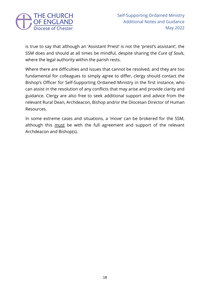

is true to say that although an 'Assistant Priest' is not the 'priest's assistant', the SSM does and should at all times be mindful, despite sharing the *Cure of Souls*, where the legal authority within the parish rests.

Where there are difficulties and issues that cannot be resolved, and they are too fundamental for colleagues to simply agree to differ, clergy should contact the Bishop's Officer for Self-Supporting Ordained Ministry in the first instance, who can assist in the resolution of any conflicts that may arise and provide clarity and guidance. Clergy are also free to seek additional support and advice from the relevant Rural Dean, Archdeacon, Bishop and/or the Diocesan Director of Human Resources.

In some extreme cases and situations, a 'move' can be brokered for the SSM, although this must be with the full agreement and support of the relevant Archdeacon and Bishop(s).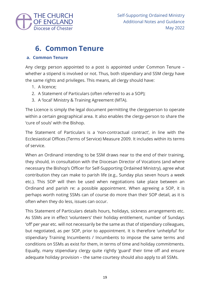

## **6. Common Tenure**

### **a. Common Tenure**

Any clergy person appointed to a post is appointed under Common Tenure – whether a stipend is involved or not. Thus, both stipendiary and SSM clergy have the same rights and privileges. This means, all clergy should have:

- 1. A licence;
- 2. A Statement of Particulars (often referred to as a SOP);
- 3. A 'local' Ministry & Training Agreement (MTA).

The Licence is simply the legal document permitting the clergyperson to operate within a certain geographical area. It also enables the clergy-person to share the 'cure of souls' with the Bishop.

The Statement of Particulars is a 'non-contractual contract', in line with the Ecclesiastical Offices (Terms of Service) Measure 2009. It includes within its terms of service.

When an Ordinand intending to be SSM draws near to the end of their training, they should, in consultation with the Diocesan Director of Vocations (and where necessary the Bishop's Officer for Self-Supporting Ordained Ministry), agree what contribution they can make to parish life (e.g., Sunday plus seven hours a week etc.). This SOP will then be used when negotiations take place between an Ordinand and parish re: a possible appointment. When agreeing a SOP, it is perhaps worth noting SSMs can of course do more than their SOP detail, as it is often when they do less, issues can occur.

This Statement of Particulars details hours, holidays, sickness arrangements etc. As SSMs are in effect 'volunteers' their holiday entitlement, number of Sundays 'off' per year etc. will not necessarily be the same as that of stipendiary colleagues, but negotiated, as per SOP, prior to appointment. It is therefore 'unhelpful' for stipendiary Training Incumbents / Incumbents to impose the same terms and conditions on SSMs as exist for them, in terms of time and holiday commitments. Equally, many stipendiary clergy quite rightly 'guard' their time off and ensure adequate holiday provision – the same courtesy should also apply to all SSMs.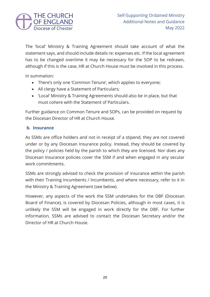

The 'local' Ministry & Training Agreement should take account of what the statement says, and should include details re: expenses etc. If the local agreement has to be changed overtime it may be necessary for the SOP to be redrawn, although if this is the case, HR at Church House must be involved in this process.

In summation:

- There's only one 'Common Tenure', which applies to everyone;
- All clergy have a Statement of Particulars;
- 'Local' Ministry & Training Agreements should also be in place, but that must cohere with the Statement of Particulars.

Further guidance on Common Tenure and SOPs, can be provided on request by the Diocesan Director of HR at Church House.

### **b. Insurance**

As SSMs are office holders and not in receipt of a stipend, they are not covered under or by any Diocesan Insurance policy. Instead, they should be covered by the policy / policies held by the parish to which they are licensed. Nor does any Diocesan Insurance policies cover the SSM if and when engaged in any secular work commitments.

SSMs are strongly advised to check the provision of insurance within the parish with their Training Incumbents / Incumbents, and where necessary, refer to it in the Ministry & Training Agreement (see below).

However, any aspects of the work the SSM undertakes for the DBF (Diocesan Board of Finance), is covered by Diocesan Policies, although in most cases, it is unlikely the SSM will be engaged in work directly for the DBF. For further information, SSMs are advised to contact the Diocesan Secretary and/or the Director of HR at Church House.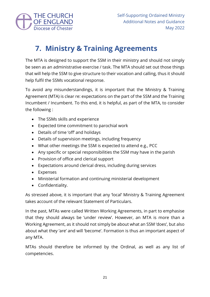

## **7. Ministry & Training Agreements**

The MTA is designed to support the SSM in their ministry and should not simply be seen as an administrative exercise / task. The MTA should set out those things that will help the SSM to give structure to their vocation and calling, thus it should help fulfil the SSMs vocational response.

To avoid any misunderstandings, it is important that the Ministry & Training Agreement (MTA) is clear re: expectations on the part of the SSM and the Training Incumbent / Incumbent. To this end, it is helpful, as part of the MTA, to consider the following :

- The SSMs skills and experience
- Expected time commitment to parochial work
- Details of time 'off' and holidays
- Details of supervision meetings, including frequency
- What other meetings the SSM is expected to attend e.g., PCC
- Any specific or special responsibilities the SSM may have in the parish
- Provision of office and clerical support
- Expectations around clerical dress, including during services
- Expenses
- Ministerial formation and continuing ministerial development
- Confidentiality.

As stressed above, it is important that any 'local' Ministry & Training Agreement takes account of the relevant Statement of Particulars.

In the past, MTAs were called Written Working Agreements, in part to emphasise that they should always be 'under review'. However, an MTA is more than a Working Agreement, as it should not simply be about what an SSM 'does', but also about what they 'are' and will 'become'. Formation is thus an important aspect of any MTA.

MTAs should therefore be informed by the Ordinal, as well as any list of competencies.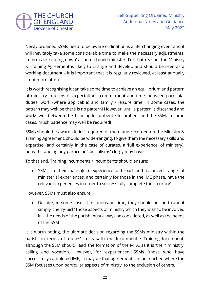

Newly ordained SSMs need to be aware ordination is a life-changing event and it will inevitably take some considerable time to make the necessary adjustments, in terms to 'settling down' as an ordained minister. For that reason, the Ministry & Training Agreement is likely to change and develop and should be seen as a working document – it is important that it is regularly reviewed, at least annually if not more often.

It is worth recognising it can take some time to achieve an equilibrium and pattern of ministry in terms of expectations, commitment and time, between parochial duties, work (where applicable) and family / leisure time. In some cases, the pattern may well be there is no pattern! However, until a pattern is discerned and works well between the Training Incumbent / Incumbent and the SSM, in some cases, much patience may well be required!

SSMs should be aware 'duties' required of them and recorded on the Ministry & Training Agreement, should be wide-ranging, to give them the necessary skills and expertise (and certainly in the case of curates, a 'full experience' of ministry), notwithstanding any particular 'specialisms' clergy may have.

To that end, Training Incumbents / Incumbents should ensure:

• SSMs in their parish(es) experience a broad and balanced range of ministerial experiences, and certainly for those in the IME phase, have the relevant experiences in order to successfully complete their 'curacy'

However, SSMs must also ensure:

• Despite, in some cases, limitations on time, they should not and cannot simply 'cherry-pick' those aspects of ministry which they wish to be involved in – the needs of the parish must always be considered, as well as the needs of the SSM

It is worth noting, the ultimate decision regarding the SSMs ministry within the parish, in terms of 'duties', rests with the Incumbent / Training Incumbent, although the SSM should 'lead' the formation of the MTA, as it is 'their' ministry, calling and vocation. However, for 'experienced' SSMs (those who have successfully completed IME), it may be that agreement can be reached where the SSM focusses upon particular aspects of ministry, to the exclusion of others.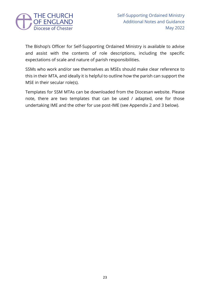

The Bishop's Officer for Self-Supporting Ordained Ministry is available to advise and assist with the contents of role descriptions, including the specific expectations of scale and nature of parish responsibilities.

SSMs who work and/or see themselves as MSEs should make clear reference to this in their MTA, and ideally it is helpful to outline how the parish can support the MSE in their secular role(s).

Templates for SSM MTAs can be downloaded from the Diocesan website. Please note, there are two templates that can be used / adapted, one for those undertaking IME and the other for use post-IME (see Appendix 2 and 3 below).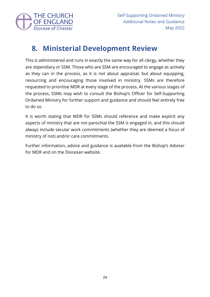

## **8. Ministerial Development Review**

This is administered and runs in exactly the same way for all clergy, whether they are stipendiary or SSM. Those who are SSM are encouraged to engage as actively as they can in the process, as it is not about appraisal, but about equipping, resourcing and encouraging those involved in ministry. SSMs are therefore requested to prioritise MDR at every stage of the process. At the various stages of the process, SSMs may wish to consult the Bishop's Officer for Self-Supporting Ordained Ministry for further support and guidance and should feel entirely free to do so.

It is worth stating that MDR for SSMs should reference and make explicit any aspects of ministry that are not parochial the SSM is engaged in, and this should always include secular work commitments (whether they are deemed a focus of ministry of not) and/or care commitments.

Further information, advice and guidance is available from the Bishop's Adviser for MDR and on the Diocesan website.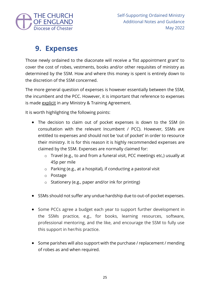

## **9. Expenses**

Those newly ordained to the diaconate will receive a 'fist appointment grant' to cover the cost of robes, vestments, books and/or other requisites of ministry as determined by the SSM. How and where this money is spent is entirely down to the discretion of the SSM concerned.

The more general question of expenses is however essentially between the SSM, the incumbent and the PCC. However, it is important that reference to expenses is made explicit in any Ministry & Training Agreement.

It is worth highlighting the following points:

- The decision to claim out of pocket expenses is down to the SSM (in consultation with the relevant Incumbent / PCC). However, SSMs are entitled to expenses and should not be 'out of pocket' in order to resource their ministry. It is for this reason it is highly recommended expenses are claimed by the SSM. Expenses are normally claimed for:
	- o Travel (e.g., to and from a funeral visit, PCC meetings etc,) usually at 45p per mile
	- o Parking (e.g., at a hospital), if conducting a pastoral visit
	- o Postage
	- o Stationery (e.g., paper and/or ink for printing)
- SSMs should not suffer any undue hardship due to out-of-pocket expenses.
- Some PCCs agree a budget each year to support further development in the SSMs practice, e.g., for books, learning resources, software, professional mentoring, and the like, and encourage the SSM to fully use this support in her/his practice.
- Some parishes will also support with the purchase / replacement / mending of robes as and when required.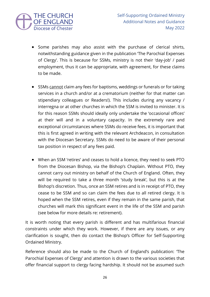

- Some parishes may also assist with the purchase of clerical shirts, notwithstanding guidance given in the publication 'The Parochial Expenses of Clergy'. This is because for SSMs, ministry is not their 'day-job' / paid employment, thus it can be appropriate, with agreement, for these claims to be made.
- SSMs cannot claim any fees for baptisms, weddings or funerals or for taking services in a church and/or at a crematorium (neither for that matter can stipendiary colleagues or Readers!). This includes during any vacancy / interregna or at other churches in which the SSM is invited to minister. It is for this reason SSMs should ideally only undertake the 'occasional offices' at their will and in a voluntary capacity. In the extremely rare and exceptional circumstances where SSMs do receive fees, it is important that this is first agreed in writing with the relevant Archdeacon, in consultation with the Diocesan Secretary. SSMs do need to be aware of their personal tax position in respect of any fees paid.
- When an SSM 'retires' and ceases to hold a licence, they need to seek PTO from the Diocesan Bishop, via the Bishop's Chaplain. Without PTO, they cannot carry out ministry on behalf of the Church of England. Often, they will be required to take a three month 'study break', but this is at the Bishop's discretion. Thus, once an SSM retires and is in receipt of PTO, they cease to be SSM and so can claim the fees due to all retired clergy. It is hoped when the SSM retires, even if they remain in the same parish, that churches will mark this significant event in the life of the SSM and parish (see below for more details re: retirement).

It is worth noting that every parish is different and has multifarious financial constraints under which they work. However, if there are any issues, or any clarification is sought, then do contact the Bishop's Officer for Self-Supporting Ordained Ministry.

Reference should also be made to the Church of England's publication: 'The Parochial Expenses of Clergy' and attention is drawn to the various societies that offer financial support to clergy facing hardship. It should not be assumed such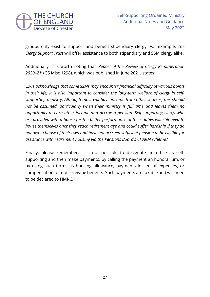

groups only exist to support and benefit stipendiary clergy. For example, *The Clergy Support Trust* will offer assistance to both stipendiary and SSM clergy alike.

Additionally, it is worth noting that '*Report of the Review of Clergy Remuneration 2020–21*' (GS Misc 1298), which was published in June 2021, states:

*'…we acknowledge that some SSMs may encounter financial difficulty at various points in their life, it is also important to consider the long-term welfare of clergy in selfsupporting ministry. Although most will have income from other sources, this should not be assumed, particularly when their ministry is full time and leaves them no opportunity to earn other income and accrue a pension. Self-supporting clergy who are provided with a house for the better performance of their duties will still need to house themselves once they reach retirement age and could suffer hardship if they do not own a house of their own and have not accrued sufficient pension to be eligible for assistance with retirement housing via the Pensions Board's CHARM scheme.'*

Finally, please remember, it is not possible to designate an office as selfsupporting and then make payments, by calling the payment an honorarium, or by using such terms as housing allowance, payments in lieu of expenses, or compensation for not receiving benefits. Such payments are taxable and will need to be declared to HMRC.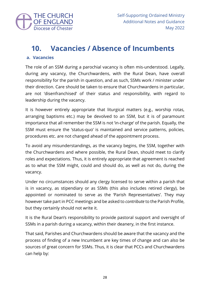

## **10. Vacancies / Absence of Incumbents**

### **a. Vacancies**

The role of an SSM during a parochial vacancy is often mis-understood. Legally, during any vacancy, the Churchwardens, with the Rural Dean, have overall responsibility for the parish in question, and as such, SSMs work / minister under their direction. Care should be taken to ensure that Churchwardens in particular, are not 'disenfranchised' of their status and responsibility, with regard to leadership during the vacancy.

It is however entirely appropriate that liturgical matters (e.g., worship rotas, arranging baptisms etc.) may be devolved to an SSM, but it is of paramount importance that all remember the SSM is not 'in-charge' of the parish. Equally, the SSM must ensure the 'status-quo' is maintained and service patterns, policies, procedures etc. are not changed ahead of the appointment process.

To avoid any misunderstandings, as the vacancy begins, the SSM, together with the Churchwardens and where possible, the Rural Dean, should meet to clarify roles and expectations. Thus, it is entirely appropriate that agreement is reached as to what the SSM might, could and should do, as well as not do, during the vacancy.

Under no circumstances should any clergy licensed to serve within a parish that is in vacancy, as stipendiary or as SSMs (this also includes retired clergy), be appointed or nominated to serve as the 'Parish Representatives'. They may however take part in PCC meetings and be asked to *contribute* to the Parish Profile, but they certainly should not write it.

It is the Rural Dean's responsibility to provide pastoral support and oversight of SSMs in a parish during a vacancy, within their deanery, in the first instance.

That said, Parishes and Churchwardens should be aware that the vacancy and the process of finding of a new Incumbent are key times of change and can also be sources of great concern for SSMs. Thus, it is clear that PCCs and Churchwardens can help by: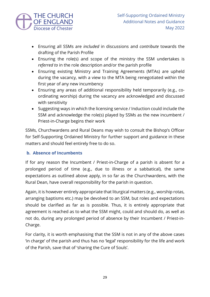

- Ensuring all SSMs are *included* in discussions and *contribute* towards the drafting of the Parish Profile
- Ensuring the role(s) and scope of the ministry the SSM undertakes is *referred to* in the role description and/or the parish profile
- Ensuring existing Ministry and Training Agreements (MTAs) are upheld during the vacancy, with a view to the MTA being renegotiated within the first year of any new incumbency
- Ensuring any areas of additional responsibility held temporarily (e.g., coordinating worship) during the vacancy are acknowledged and discussed with sensitivity
- Suggesting ways in which the licensing service / Induction could include the SSM and acknowledge the role(s) played by SSMs as the new incumbent / Priest-in-Charge begins their work

SSMs, Churchwardens and Rural Deans may wish to consult the Bishop's Officer for Self-Supporting Ordained Ministry for further support and guidance in these matters and should feel entirely free to do so.

### **b. Absence of Incumbents**

If for any reason the Incumbent / Priest-in-Charge of a parish is absent for a prolonged period of time (e.g., due to illness or a sabbatical), the same expectations as outlined above apply, in so far as the Churchwardens, with the Rural Dean, have overall responsibility for the parish in question.

Again, it is however entirely appropriate that liturgical matters (e.g., worship rotas, arranging baptisms etc.) may be devolved to an SSM, but roles and expectations should be clarified as far as is possible. Thus, it is entirely appropriate that agreement is reached as to what the SSM might, could and should do, as well as not do, during any prolonged period of absence by their Incumbent / Priest-in-Charge.

For clarity, it is worth emphasising that the SSM is not in any of the above cases 'in charge' of the parish and thus has no 'legal' responsibility for the life and work of the Parish, save that of 'sharing the Cure of Souls'.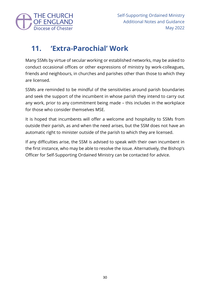

## **11. 'Extra-Parochial' Work**

Many SSMs by virtue of secular working or established networks, may be asked to conduct occasional offices or other expressions of ministry by work-colleagues, friends and neighbours, in churches and parishes other than those to which they are licensed.

SSMs are reminded to be mindful of the sensitivities around parish boundaries and seek the support of the incumbent in whose parish they intend to carry out any work, prior to any commitment being made – this includes in the workplace for those who consider themselves MSE.

It is hoped that incumbents will offer a welcome and hospitality to SSMs from outside their parish, as and when the need arises, but the SSM does not have an automatic right to minister outside of the parish to which they are licensed.

If any difficulties arise, the SSM is advised to speak with their own incumbent in the first instance, who may be able to resolve the issue. Alternatively, the Bishop's Officer for Self-Supporting Ordained Ministry can be contacted for advice.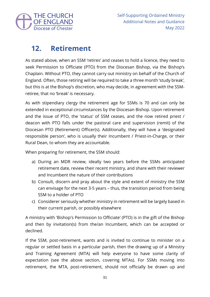

## **12. Retirement**

As stated above, when an SSM 'retires' and ceases to hold a licence, they need to seek Permission to Officiate (PTO) from the Diocesan Bishop, via the Bishop's Chaplain. Without PTO, they cannot carry out ministry on behalf of the Church of England. Often, those retiring will be required to take a three month 'study break', but this is at the Bishop's discretion, who may decide, in agreement with the SSMretiree, that no 'break' is necessary.

As with stipendiary clergy the retirement age for SSMs is 70 and can only be extended in exceptional circumstances by the Diocesan Bishop. Upon retirement and the issue of PTO, the 'status' of SSM ceases, and the now retired priest / deacon with PTO falls under the pastoral care and supervision (remit) of the Diocesan PTO (Retirement) Officer(s). Additionally, they will have a 'designated responsible person', who is usually their Incumbent / Priest-in-Charge, or their Rural Dean, to whom they are accountable.

When preparing for retirement, the SSM should:

- a) During an MDR review, ideally two years before the SSMs anticipated retirement date, review their recent ministry, and share with their reviewer and Incumbent the nature of their contributions
- b) Consult, discern and pray about the style and extent of ministry the SSM can envisage for the next 3-5 years – thus, the transition period from being SSM to a holder of PTO
- c) Considerer seriously whether ministry in retirement will be largely based in their current parish, or possibly elsewhere

A ministry with 'Bishop's Permission to Officiate' (PTO) is in the gift of the Bishop and then by invitation(s) from the/an Incumbent, which can be accepted or declined.

If the SSM, post-retirement, wants and is invited to continue to minister on a regular or settled basis in a particular parish, then the drawing up of a Ministry and Training Agreement (MTA) will help everyone to have some clarity of expectation (see the above section, covering MTAs). For SSMs moving into retirement, the MTA, post-retirement, should not officially be drawn up and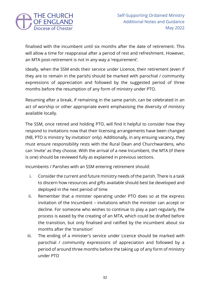

finalised with the incumbent until six months after the date of retirement. This will allow a time for reappraisal after a period of rest and refreshment. However, an MTA post-retirement is not in any way a 'requirement'.

Ideally, when the SSM ends their service under Licence, their retirement (even if they are to remain in the parish) should be marked with parochial / community expressions of appreciation and followed by the suggested period of three months before the resumption of any form of ministry under PTO.

Resuming after a break, if remaining in the same parish, can be celebrated in an act of worship or other appropriate event emphasising the diversity of ministry available locally.

The SSM, once retired and holding PTO, will find it helpful to consider how they respond to invitations now that their licensing arrangements have been changed (NB, PTO is ministry 'by invitation' only). Additionally, in any ensuing vacancy, they must ensure responsibility rests with the Rural Dean and Churchwardens, who can 'invite' as they choose. With the arrival of a new Incumbent, the MTA (if there is one) should be reviewed fully as explained in previous sections.

Incumbents / Parishes with an SSM entering retirement should:

- i. Consider the current and future ministry needs of the parish. There is a task to discern how resources and gifts available should best be developed and deployed in the next period of time
- ii. Remember that a minister operating under PTO does so at the express invitation of the Incumbent – invitations which the minister can accept or decline. For someone who wishes to continue to play a part regularly, the process is eased by the creating of an MTA, which could be drafted before the transition, but only finalised and ratified by the incumbent about six months after the 'transition'
- iii. The ending of a minister's service under Licence should be marked with parochial / community expressions of appreciation and followed by a period of around three months before the taking up of any form of ministry under PTO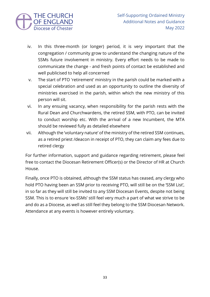

- iv. In this three-month (or longer) period, it is very important that the congregation / community grow to understand the changing nature of the SSMs future involvement in ministry. Every effort needs to be made to communicate the change - and fresh points of contact be established and well publicised to help all concerned
- v. The start of PTO 'retirement' ministry in the parish could be marked with a special celebration and used as an opportunity to outline the diversity of ministries exercised in the parish, within which the new ministry of this person will sit.
- vi. In any ensuing vacancy, when responsibility for the parish rests with the Rural Dean and Churchwardens, the retired SSM, with PTO, can be invited to conduct worship etc. With the arrival of a new Incumbent, the MTA should be reviewed fully as detailed elsewhere
- vii. Although the 'voluntary nature' of the ministry of the retired SSM continues, as a retired priest /deacon in receipt of PTO, they can claim any fees due to retired clergy

For further information, support and guidance regarding retirement, please feel free to contact the Diocesan Retirement Officer(s) or the Director of HR at Church House.

Finally, once PTO is obtained, although the SSM status has ceased, any clergy who hold PTO having been an SSM prior to receiving PTO, will still be on the 'SSM List', in so far as they will still be invited to any SSM Diocesan Events, despite not being SSM. This is to ensure 'ex-SSMs' still feel very much a part of what we strive to be and do as a Diocese, as well as still feel they belong to the SSM Diocesan Network. Attendance at any events is however entirely voluntary.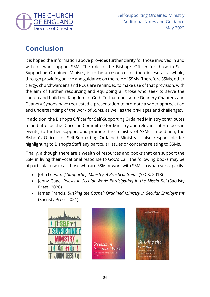

## **Conclusion**

It is hoped the information above provides further clarity for those involved in and with, or who support SSM. The role of the Bishop's Officer for those in Self-Supporting Ordained Ministry is to be a resource for the diocese as a whole, through providing advice and guidance on the role of SSMs. Therefore SSMs, other clergy, churchwardens and PCCs are reminded to make use of that provision, with the aim of further resourcing and equipping all those who seek to serve the church and build the Kingdom of God. To that end, some Deanery Chapters and Deanery Synods have requested a presentation to promote a wider appreciation and understanding of the work of SSMs, as well as the privileges and challenges.

In addition, the Bishop's Officer for Self-Supporting Ordained Ministry contributes to and attends the Diocesan Committee for Ministry and relevant inter-diocesan events, to further support and promote the ministry of SSMs. In addition, the Bishop's Officer for Self-Supporting Ordained Ministry is also responsible for highlighting to Bishop's Staff any particular issues or concerns relating to SSMs.

Finally, although there are a wealth of resources and books that can support the SSM in living their vocational response to God's Call, the following books may be of particular use to all those who are SSM or work with SSMs in whatever capacity:

- John Lees, *Self-Supporting Ministry: A Practical Guide* (SPCK, 2018)
- Jenny Gage, *Priests in Secular Work: Participating in the Missio Dei* (Sacristy Press, 2020)
- James Francis, *Busking the Gospel: Ordained Ministry in Secular Employment*  (Sacristy Press 2021)





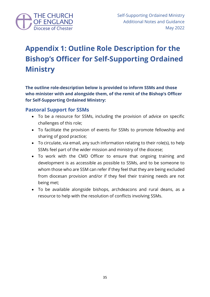

## **Appendix 1: Outline Role Description for the Bishop's Officer for Self-Supporting Ordained Ministry**

**The outline role-description below is provided to inform SSMs and those who minister with and alongside them, of the remit of the Bishop's Officer for Self-Supporting Ordained Ministry:**

### **Pastoral Support for SSMs**

- To be a resource for SSMs, including the provision of advice on specific challenges of this role;
- To facilitate the provision of events for SSMs to promote fellowship and sharing of good practice;
- To circulate, via email, any such information relating to their role(s), to help SSMs feel part of the wider mission and ministry of the diocese;
- To work with the CMD Officer to ensure that ongoing training and development is as accessible as possible to SSMs, and to be someone to whom those who are SSM can refer if they feel that they are being excluded from diocesan provision and/or if they feel their training needs are not being met;
- To be available alongside bishops, archdeacons and rural deans, as a resource to help with the resolution of conflicts involving SSMs.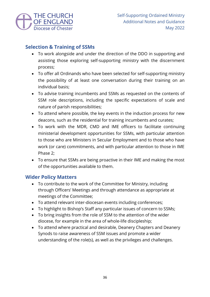

### **Selection & Training of SSMs**

- To work alongside and under the direction of the DDO in supporting and assisting those exploring self-supporting ministry with the discernment process;
- To offer all Ordinands who have been selected for self-supporting ministry the possibility of at least one conversation during their training on an individual basis;
- To advise training incumbents and SSMs as requested on the contents of SSM role descriptions, including the specific expectations of scale and nature of parish responsibilities;
- To attend where possible, the key events in the induction process for new deacons, such as the residential for training incumbents and curates;
- To work with the MDR, CMD and IME officers to facilitate continuing ministerial development opportunities for SSMs, with particular attention to those who are Ministers in Secular Employment and to those who have work (or care) commitments, and with particular attention to those in IME Phase 2;
- To ensure that SSMs are being proactive in their IME and making the most of the opportunities available to them.

### **Wider Policy Matters**

- To contribute to the work of the Committee for Ministry, including through Officers' Meetings and through attendance as appropriate at meetings of the Committee;
- To attend relevant inter-diocesan events including conferences;
- To highlight to Bishop's Staff any particular issues of concern to SSMs;
- To bring insights from the role of SSM to the attention of the wider diocese, for example in the area of whole-life discipleship;
- To attend where practical and desirable, Deanery Chapters and Deanery Synods to raise awareness of SSM issues and promote a wider understanding of the role(s), as well as the privileges and challenges.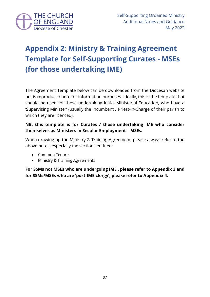

## **Appendix 2: Ministry & Training Agreement Template for Self-Supporting Curates - MSEs (for those undertaking IME)**

The Agreement Template below can be downloaded from the Diocesan website but is reproduced here for information purposes. Ideally, this is the template that should be used for those undertaking Initial Ministerial Education, who have a 'Supervising Minister' (usually the Incumbent / Priest-in-Charge of their parish to which they are licenced).

### **NB, this template is for Curates / those undertaking IME who consider themselves as Ministers in Secular Employment – MSEs.**

When drawing up the Ministry & Training Agreement, please always refer to the above notes, especially the sections entitled:

- Common Tenure
- Ministry & Training Agreements

**For SSMs not MSEs who are undergoing IME , please refer to Appendix 3 and for SSMs/MSEs who are 'post-IME clergy', please refer to Appendix 4.**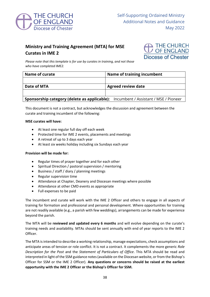

### **Ministry and Training Agreement (MTA) for MSE Curates in IME 2**



*Please note that this template is for use by curates in training, and not those who have completed IME2.*

| <b>Name of curate</b>                                                                     | Name of training incumbent |
|-------------------------------------------------------------------------------------------|----------------------------|
|                                                                                           |                            |
| Date of MTA                                                                               | <b>Agreed review date</b>  |
|                                                                                           |                            |
| <b>Sponsorship category (delete as applicable):</b> Incumbent / Assistant / MSE / Pioneer |                            |

This document is not a contract, but acknowledges the discussion and agreement between the curate and training incumbent of the following:

#### **MSE curates will have:**

- At least one regular full day off each week
- Protected time for IME 2 events, placements and meetings
- A retreat of up to 3 days each year
- At least six weeks holiday including six Sundays each year

#### **Provision will be made for:**

- Regular times of prayer together and for each other
- Spiritual Direction / pastoral supervision / mentoring
- Business / staff / diary / planning meetings
- Regular supervision time
- Attendance at Chapter, Deanery and Diocesan meetings where possible
- Attendance at other CMD events as appropriate
- Full expenses to be paid

The incumbent and curate will work with the IME 2 Officer and others to engage in all aspects of training for formation and professional and personal development. Where opportunities for training are not readily available (e.g., a parish with few weddings), arrangements can be made for experience beyond the parish.

The MTA will be **reviewed and updated every 6 months** and will evolve depending on the curate's training needs and availability. MTAs should be sent annually with end of year reports to the IME 2 Officer.

The MTA is intended to describe a working relationship, manage expectations, check assumptions and anticipate areas of tension or role conflict. It is not a contract. It complements the more generic *Role Description for the Post* and the *Statement of Particulars of Office*. This MTA should be read and interpreted in light of the SSM guidance notes (available on the Diocesan website, or from the Bishop's Officer for SSM or the IME 2 Officer). **Any questions or concerns should be raised at the earliest opportunity with the IME 2 Officer or the Bishop's Officer for SSM.**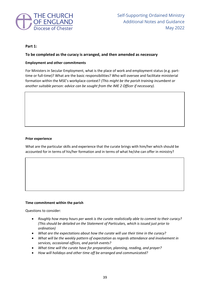

#### **Part 1:**

#### **To be completed as the curacy is arranged, and then amended as necessary**

#### **Employment and other commitments**

For Ministers in Secular Employment, what is the place of work and employment status (e.g. parttime or full-time)? What are the basic responsibilities? Who will oversee and facilitate ministerial formation within the MSE's workplace context? *(This might be the parish training incumbent or another suitable person: advice can be sought from the IME 2 Officer if necessary).*

#### **Prior experience**

What are the particular skills and experience that the curate brings with him/her which should be accounted for in terms of his/her formation and in terms of what he/she can offer in ministry?

#### **Time commitment within the parish**

Questions to consider:

- *Roughly how many hours per week is the curate realistically able to commit to their curacy? (This should be detailed on the Statement of Particulars, which is issued just prior to ordination)*
- What are the expectations about how the curate will use their time in the curacy?
- *What will be the weekly pattern of expectation as regards attendance and involvement in services, occasional offices, and parish events?*
- *What time will the curate have for preparation, planning, reading, and prayer?*
- *How will holidays and other time off be arranged and communicated?*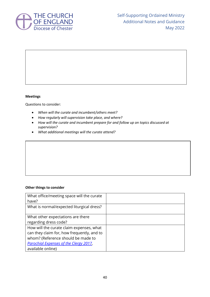

#### **Meetings**

Questions to consider:

- *When will the curate and incumbent/others meet?*
- *How regularly will supervision take place, and where?*
- *How will the curate and incumbent prepare for and follow up on topics discussed at supervision?*
- *What additional meetings will the curate attend?*

#### **Other things to consider**

| What office/meeting space will the curate     |  |
|-----------------------------------------------|--|
| have?                                         |  |
| What is normal/expected liturgical dress?     |  |
| What other expectations are there             |  |
| regarding dress code?                         |  |
| How will the curate claim expenses, what      |  |
| can they claim for, how frequently, and to    |  |
| whom? (Reference should be made to            |  |
| <b>Parochial Expenses of the Clergy 2017,</b> |  |
| available online)                             |  |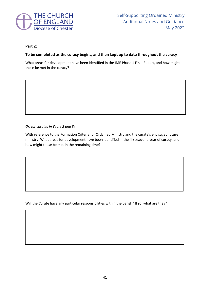

#### **Part 2:**

#### **To be completed as the curacy begins, and then kept up to date throughout the curacy**

What areas for development have been identified in the IME Phase 1 Final Report, and how might these be met in the curacy?

*Or, for curates in Years 2 and 3:*

With reference to the Formation Criteria for Ordained Ministry and the curate's envisaged future ministry: What areas for development have been identified in the first/second year of curacy, and how might these be met in the remaining time?

Will the Curate have any particular responsibilities within the parish? If so, what are they?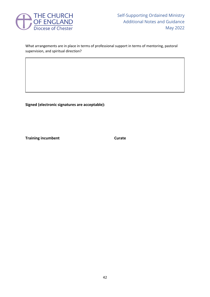

#### What arrangements are in place in terms of professional support in terms of mentoring, pastoral supervision, and spiritual direction?

**Signed (electronic signatures are acceptable):**

**Training incumbent Curate**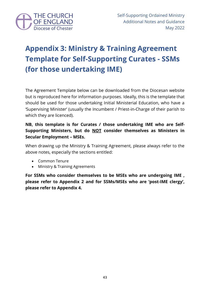

## **Appendix 3: Ministry & Training Agreement Template for Self-Supporting Curates - SSMs (for those undertaking IME)**

The Agreement Template below can be downloaded from the Diocesan website but is reproduced here for information purposes. Ideally, this is the template that should be used for those undertaking Initial Ministerial Education, who have a 'Supervising Minister' (usually the Incumbent / Priest-in-Charge of their parish to which they are licenced).

### **NB, this template is for Curates / those undertaking IME who are Self-Supporting Ministers, but do NOT consider themselves as Ministers in Secular Employment – MSEs.**

When drawing up the Ministry & Training Agreement, please always refer to the above notes, especially the sections entitled:

- Common Tenure
- Ministry & Training Agreements

**For SSMs who consider themselves to be MSEs who are undergoing IME , please refer to Appendix 2 and for SSMs/MSEs who are 'post-IME clergy', please refer to Appendix 4.**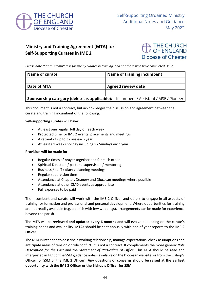

### **Ministry and Training Agreement (MTA) for Self-Supporting Curates in IME 2**



*Please note that this template is for use by curates in training, and not those who have completed IME2.*

| Name of curate     | <b>Name of training incumbent</b>                                                         |
|--------------------|-------------------------------------------------------------------------------------------|
|                    |                                                                                           |
| <b>Date of MTA</b> | <b>Agreed review date</b>                                                                 |
|                    |                                                                                           |
|                    | <b>Sponsorship category (delete as applicable):</b> Incumbent / Assistant / MSE / Pioneer |

This document is not a contract, but acknowledges the discussion and agreement between the curate and training incumbent of the following:

#### **Self-supporting curates will have:**

- At least one regular full day off each week
- Protected time for IME 2 events, placements and meetings
- A retreat of up to 3 days each year
- At least six weeks holiday including six Sundays each year

#### **Provision will be made for:**

- Regular times of prayer together and for each other
- Spiritual Direction / pastoral supervision / mentoring
- Business / staff / diary / planning meetings
- Regular supervision time
- Attendance at Chapter, Deanery and Diocesan meetings where possible
- Attendance at other CMD events as appropriate
- Full expenses to be paid

The incumbent and curate will work with the IME 2 Officer and others to engage in all aspects of training for formation and professional and personal development. Where opportunities for training are not readily available (e.g. a parish with few weddings), arrangements can be made for experience beyond the parish.

The MTA will be **reviewed and updated every 6 months** and will evolve depending on the curate's training needs and availability. MTAs should be sent annually with end of year reports to the IME 2 Officer.

The MTA is intended to describe a working relationship, manage expectations, check assumptions and anticipate areas of tension or role conflict. It is not a contract. It complements the more generic *Role Description for the Post* and the *Statement of Particulars of Office*. This MTA should be read and interpreted in light of the SSM guidance notes (available on the Diocesan website, or from the Bishop's Officer for SSM or the IME 2 Officer). **Any questions or concerns should be raised at the earliest opportunity with the IME 2 Officer or the Bishop's Officer for SSM.**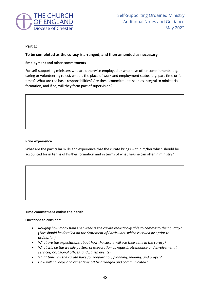

#### **Part 1:**

#### **To be completed as the curacy is arranged, and then amended as necessary**

#### **Employment and other commitments**

For self-supporting ministers who are otherwise employed or who have other commitments (e.g. caring or volunteering roles), what is the place of work and employment status (e.g. part-time or fulltime)? What are the basic responsibilities? Are these commitments seen as integral to ministerial formation, and if so, will they form part of supervision?

#### **Prior experience**

What are the particular skills and experience that the curate brings with him/her which should be accounted for in terms of his/her formation and in terms of what he/she can offer in ministry?

#### **Time commitment within the parish**

Questions to consider:

- *Roughly how many hours per week is the curate realistically able to commit to their curacy? (This should be detailed on the Statement of Particulars, which is issued just prior to ordination)*
- What are the expectations about how the curate will use their time in the curacy?
- *What will be the weekly pattern of expectation as regards attendance and involvement in services, occasional offices, and parish events?*
- *What time will the curate have for preparation, planning, reading, and prayer?*
- *How will holidays and other time off be arranged and communicated?*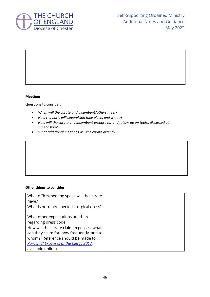

#### **Meetings**

Questions to consider:

- *When will the curate and incumbent/others meet?*
- *How regularly will supervision take place, and where?*
- *How will the curate and incumbent prepare for and follow up on topics discussed at supervision?*
- *What additional meetings will the curate attend?*

#### **Other things to consider**

| What office/meeting space will the curate     |  |
|-----------------------------------------------|--|
| have?                                         |  |
| What is normal/expected liturgical dress?     |  |
| What other expectations are there             |  |
| regarding dress code?                         |  |
| How will the curate claim expenses, what      |  |
| can they claim for, how frequently, and to    |  |
| whom? (Reference should be made to            |  |
| <b>Parochial Expenses of the Clergy 2017,</b> |  |
| available online)                             |  |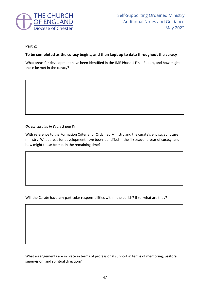

#### **Part 2:**

#### **To be completed as the curacy begins, and then kept up to date throughout the curacy**

What areas for development have been identified in the IME Phase 1 Final Report, and how might these be met in the curacy?

*Or, for curates in Years 2 and 3:*

With reference to the Formation Criteria for Ordained Ministry and the curate's envisaged future ministry: What areas for development have been identified in the first/second year of curacy, and how might these be met in the remaining time?

Will the Curate have any particular responsibilities within the parish? If so, what are they?

What arrangements are in place in terms of professional support in terms of mentoring, pastoral supervision, and spiritual direction?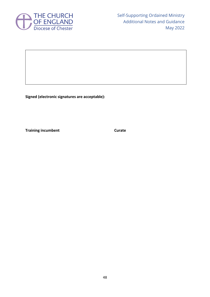

**Signed (electronic signatures are acceptable):**

**Training incumbent Curate**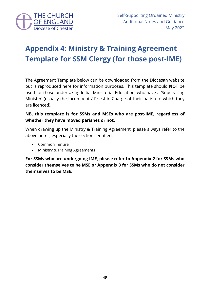

## **Appendix 4: Ministry & Training Agreement Template for SSM Clergy (for those post-IME)**

The Agreement Template below can be downloaded from the Diocesan website but is reproduced here for information purposes. This template should **NOT** be used for those undertaking Initial Ministerial Education, who have a 'Supervising Minister' (usually the Incumbent / Priest-in-Charge of their parish to which they are licenced).

### **NB, this template is for SSMs and MSEs who are post-IME, regardless of whether they have moved parishes or not.**

When drawing up the Ministry & Training Agreement, please always refer to the above notes, especially the sections entitled:

- Common Tenure
- Ministry & Training Agreements

**For SSMs who are undergoing IME, please refer to Appendix 2 for SSMs who consider themselves to be MSE or Appendix 3 for SSMs who do not consider themselves to be MSE.**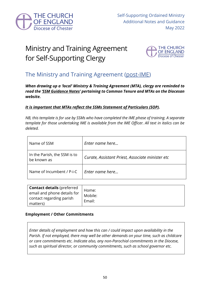

## Ministry and Training Agreement for Self-Supporting Clergy



### The Ministry and Training Agreement (post-IME)

*When drawing up a 'local' Ministry & Training Agreement (MTA), clergy are reminded to read the 'SSM Guidance Notes' pertaining to Common Tenure and MTAs on the Diocesan website.*

#### *It is important that MTAs reflect the SSMs Statement of Particulars (SOP).*

*NB, this template is for use by SSMs who have completed the IME phase of training. A separate template for those undertaking IME is available from the IME Officer. All text in italics can be deleted.*

| Name of SSM                                 | Enter name here                                  |
|---------------------------------------------|--------------------------------------------------|
| In the Parish, the SSM is to<br>be known as | Curate, Assistant Priest, Associate minister etc |
| Name of Incumbent / P-i-C                   | Enter name here                                  |

| <b>Contact details (preferred</b><br>email and phone details for | Home:<br>Mobile: |
|------------------------------------------------------------------|------------------|
| contact regarding parish                                         | Email:           |
| matters)                                                         |                  |

#### **Employment / Other Commitments**

*Enter details of employment and how this can / could impact upon availability in the Parish. If not employed, there may well be other demands on your time, such as childcare or care commitments etc. Indicate also, any non-Parochial commitments in the Diocese, such as spiritual director, or community commitments, such as school governor etc.*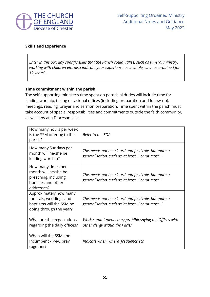

#### **Skills and Experience**

*Enter in this box any specific skills that the Parish could utilise, such as funeral ministry, working with children etc. also indicate your experience as a whole, such as ordained for 12 years'...* 

#### **Time commitment within the parish**

The self-supporting minister's time spent on parochial duties will include time for leading worship, taking occasional offices (including preparation and follow-up), meetings, reading, prayer and sermon preparation. Time spent within the parish must take account of special responsibilities and commitments outside the faith community, as well any at a Diocesan level.

| How many hours per week<br>is the SSM offering to the<br>parish?                                        | Refer to the SOP                                                                                        |
|---------------------------------------------------------------------------------------------------------|---------------------------------------------------------------------------------------------------------|
| How many Sundays per<br>month will he/she be<br>leading worship?                                        | This needs not be a 'hard and fast' rule, but more a<br>generalisation, such as 'at least' or 'at most' |
| How many times per<br>month will he/she be<br>preaching, including<br>homilies and other<br>addresses?  | This needs not be a 'hard and fast' rule, but more a<br>generalisation, such as 'at least' or 'at most' |
| Approximately how many<br>funerals, weddings and<br>baptisms will the SSM be<br>doing through the year? | This needs not be a 'hard and fast' rule, but more a<br>generalisation, such as 'at least' or 'at most' |
| What are the expectations<br>regarding the daily offices?                                               | Work commitments may prohibit saying the Offices with<br>other clergy within the Parish                 |
| When will the SSM and<br>Incumbent / P-i-C pray<br>together?                                            | Indicate when, where, frequency etc                                                                     |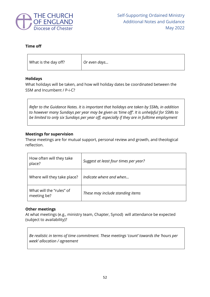

#### **Time off**

| What is the day off? | Or even days |
|----------------------|--------------|
|                      |              |

#### **Holidays**

What holidays will be taken, and how will holiday dates be coordinated between the SSM and Incumbent / P-i-C?

*Refer to the Guidance Notes. It is important that holidays are taken by SSMs, in addition to however many Sundays per year may be given as 'time off'. It is unhelpful for SSMs to be limited to only six Sundays per year off, especially if they are in fulltime employment*

#### **Meetings for supervision**

These meetings are for mutual support, personal review and growth, and theological reflection.

| How often will they take<br>place?      | Suggest at least four times per year? |
|-----------------------------------------|---------------------------------------|
| Where will they take place?             | Indicate where and when               |
| What will the "rules" of<br>meeting be? | These may include standing items      |

#### **Other meetings**

At what meetings (e.g., ministry team, Chapter, Synod) will attendance be expected (subject to availability)?

*Be realistic in terms of time commitment. These meetings 'count' towards the 'hours per week' allocation / agreement*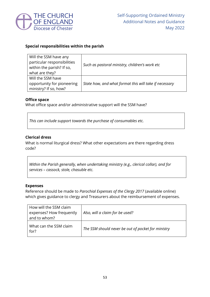

#### **Special responsibilities within the parish**

| Will the SSM have any<br>particular responsibilities<br>within the parish? If so,<br>what are they? | Such as pastoral ministry, children's work etc         |
|-----------------------------------------------------------------------------------------------------|--------------------------------------------------------|
| Will the SSM have<br>opportunity for pioneering<br>ministry? If so, how?                            | State how, and what format this will take if necessary |

#### **Office space**

What office space and/or administrative support will the SSM have?

*This can include support towards the purchase of consumables etc.*

#### **Clerical dress**

What is normal liturgical dress? What other expectations are there regarding dress code?

*Within the Parish generally, when undertaking ministry (e.g., clerical collar), and for services – cassock, stole, chasuble etc.*

#### **Expenses**

Reference should be made to *Parochial Expenses of the Clergy 2017* (available online) which gives guidance to clergy and Treasurers about the reimbursement of expenses.

| How will the SSM claim<br>expenses? How frequently<br>and to whom? | Also, will a claim for be used?                    |
|--------------------------------------------------------------------|----------------------------------------------------|
| What can the SSM claim<br>for?                                     | The SSM should never be out of pocket for ministry |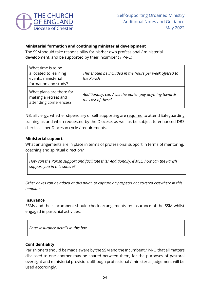

#### **Ministerial formation and continuing ministerial development**

The SSM should take responsibility for his/her own professional / ministerial development, and be supported by their Incumbent / P-i-C:

| What time is to be<br>allocated to learning<br>events, ministerial<br>formation and study? | This should be included in the hours per week offered to<br>the Parish         |
|--------------------------------------------------------------------------------------------|--------------------------------------------------------------------------------|
| What plans are there for<br>making a retreat and<br>attending conferences?                 | Additionally, can / will the parish pay anything towards<br>the cost of these? |

NB, all clergy, whether stipendiary or self-supporting are required to attend Safeguarding training as and when requested by the Diocese, as well as be subject to enhanced DBS checks, as per Diocesan cycle / requirements.

#### **Ministerial support**

What arrangements are in place in terms of professional support in terms of mentoring, coaching and spiritual direction?

*How can the Parish support and facilitate this? Additionally, if MSE, how can the Parish support you in this sphere?*

*Other boxes can be added at this point to capture any aspects not covered elsewhere in this template*

#### **Insurance**

SSMs and their Incumbent should check arrangements re: insurance of the SSM whilst engaged in parochial activities.

*Enter insurance details in this box*

#### **Confidentiality**

Parishioners should be made aware by the SSM and the Incumbent / P-i-C that all matters disclosed to one another may be shared between them, for the purposes of pastoral oversight and ministerial provision, although professional / ministerial judgement will be used accordingly.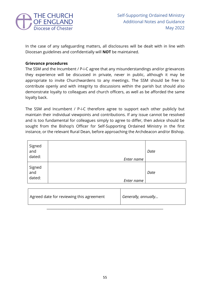

In the case of any safeguarding matters, all disclosures will be dealt with in line with Diocesan guidelines and confidentially will **NOT** be maintained.

#### **Grievance procedures**

The SSM and the Incumbent / P-i-C agree that any misunderstandings and/or grievances they experience will be discussed in private, never in public, although it may be appropriate to invite Churchwardens to any meetings. The SSM should be free to contribute openly and with integrity to discussions within the parish but should also demonstrate loyalty to colleagues and church officers, as well as be afforded the same loyalty back.

The SSM and Incumbent / P-i-C therefore agree to support each other publicly but maintain their individual viewpoints and contributions. If any issue cannot be resolved and is too fundamental for colleagues simply to agree to differ, then advice should be sought from the Bishop's Officer for Self-Supporting Ordained Ministry in the first instance, or the relevant Rural Dean, before approaching the Archdeacon and/or Bishop.

| Signed<br>and<br>dated: | Enter name | Date |
|-------------------------|------------|------|
| Signed<br>and<br>dated: | Enter name | Date |

| Agreed date for reviewing this agreement | Generally, annually |
|------------------------------------------|---------------------|
|------------------------------------------|---------------------|

\_\_\_\_\_\_\_\_\_\_\_\_\_\_\_\_\_\_\_\_\_\_\_\_\_\_\_\_\_\_\_\_\_\_\_\_\_\_\_\_\_\_\_\_\_\_\_\_\_\_\_\_\_\_\_\_\_\_\_\_\_\_\_\_\_\_\_